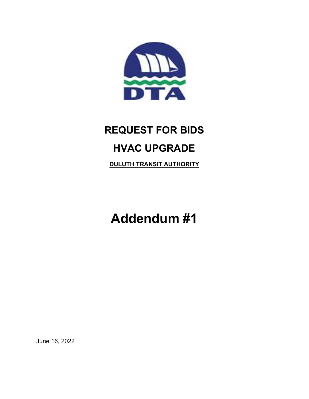

## REQUEST FOR BIDS HVAC UPGRADE

DULUTH TRANSIT AUTHORITY

Addendum #1

June 16, 2022